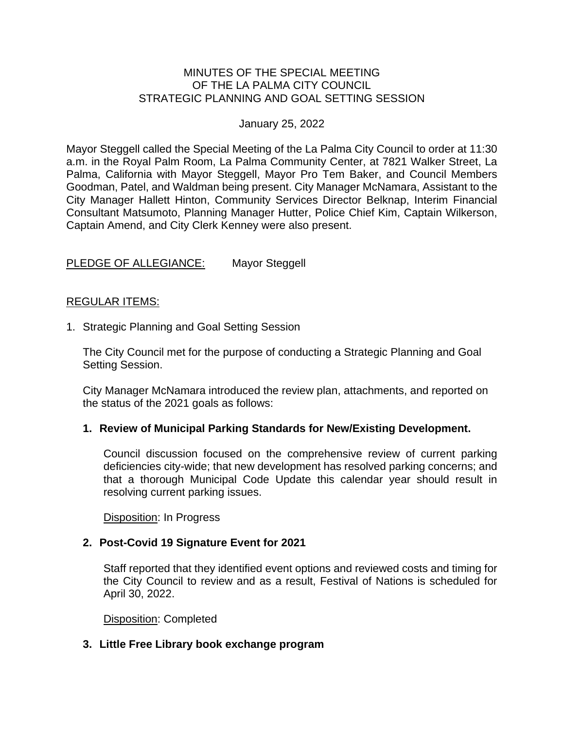#### MINUTES OF THE SPECIAL MEETING OF THE LA PALMA CITY COUNCIL STRATEGIC PLANNING AND GOAL SETTING SESSION

#### January 25, 2022

Mayor Steggell called the Special Meeting of the La Palma City Council to order at 11:30 a.m. in the Royal Palm Room, La Palma Community Center, at 7821 Walker Street, La Palma, California with Mayor Steggell, Mayor Pro Tem Baker, and Council Members Goodman, Patel, and Waldman being present. City Manager McNamara, Assistant to the City Manager Hallett Hinton, Community Services Director Belknap, Interim Financial Consultant Matsumoto, Planning Manager Hutter, Police Chief Kim, Captain Wilkerson, Captain Amend, and City Clerk Kenney were also present.

# PLEDGE OF ALLEGIANCE: Mayor Steggell

#### REGULAR ITEMS:

1. Strategic Planning and Goal Setting Session

The City Council met for the purpose of conducting a Strategic Planning and Goal Setting Session.

City Manager McNamara introduced the review plan, attachments, and reported on the status of the 2021 goals as follows:

#### **1. Review of Municipal Parking Standards for New/Existing Development.**

Council discussion focused on the comprehensive review of current parking deficiencies city-wide; that new development has resolved parking concerns; and that a thorough Municipal Code Update this calendar year should result in resolving current parking issues.

Disposition: In Progress

# **2. Post-Covid 19 Signature Event for 2021**

Staff reported that they identified event options and reviewed costs and timing for the City Council to review and as a result, Festival of Nations is scheduled for April 30, 2022.

Disposition: Completed

# **3. Little Free Library book exchange program**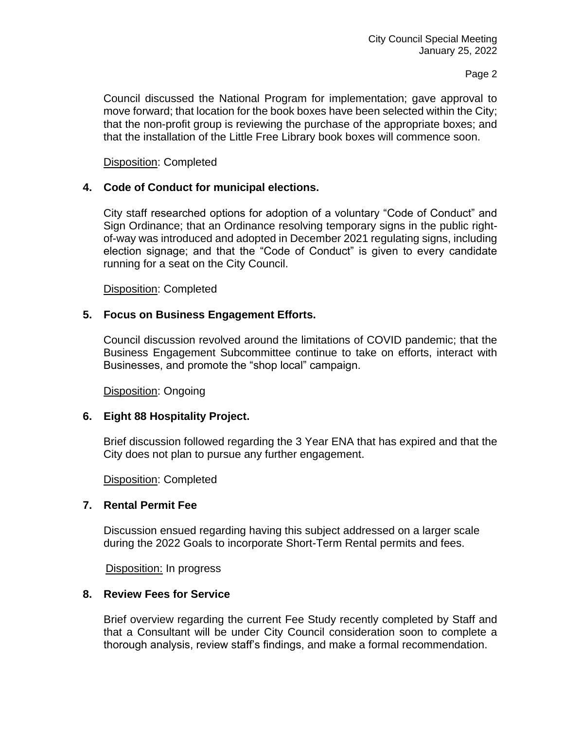#### Page 2

Council discussed the National Program for implementation; gave approval to move forward; that location for the book boxes have been selected within the City; that the non-profit group is reviewing the purchase of the appropriate boxes; and that the installation of the Little Free Library book boxes will commence soon.

#### Disposition: Completed

# **4. Code of Conduct for municipal elections.**

City staff researched options for adoption of a voluntary "Code of Conduct" and Sign Ordinance; that an Ordinance resolving temporary signs in the public rightof-way was introduced and adopted in December 2021 regulating signs, including election signage; and that the "Code of Conduct" is given to every candidate running for a seat on the City Council.

Disposition: Completed

# **5. Focus on Business Engagement Efforts.**

Council discussion revolved around the limitations of COVID pandemic; that the Business Engagement Subcommittee continue to take on efforts, interact with Businesses, and promote the "shop local" campaign.

Disposition: Ongoing

# **6. Eight 88 Hospitality Project.**

Brief discussion followed regarding the 3 Year ENA that has expired and that the City does not plan to pursue any further engagement.

Disposition: Completed

# **7. Rental Permit Fee**

Discussion ensued regarding having this subject addressed on a larger scale during the 2022 Goals to incorporate Short-Term Rental permits and fees.

Disposition: In progress

#### **8. Review Fees for Service**

Brief overview regarding the current Fee Study recently completed by Staff and that a Consultant will be under City Council consideration soon to complete a thorough analysis, review staff's findings, and make a formal recommendation.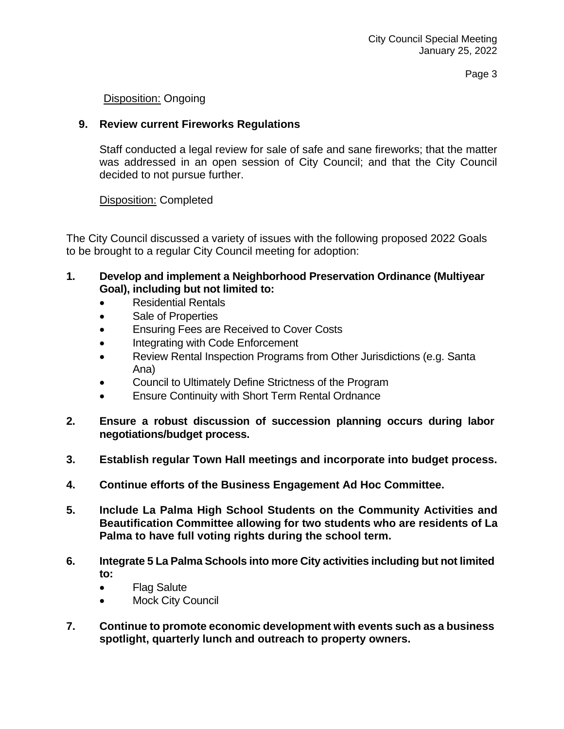Page 3

# Disposition: Ongoing

# **9. Review current Fireworks Regulations**

Staff conducted a legal review for sale of safe and sane fireworks; that the matter was addressed in an open session of City Council; and that the City Council decided to not pursue further.

# Disposition: Completed

The City Council discussed a variety of issues with the following proposed 2022 Goals to be brought to a regular City Council meeting for adoption:

- **1. Develop and implement a Neighborhood Preservation Ordinance (Multiyear Goal), including but not limited to:**
	- Residential Rentals
	- Sale of Properties
	- Ensuring Fees are Received to Cover Costs
	- Integrating with Code Enforcement
	- Review Rental Inspection Programs from Other Jurisdictions (e.g. Santa Ana)
	- Council to Ultimately Define Strictness of the Program
	- Ensure Continuity with Short Term Rental Ordnance
- **2. Ensure a robust discussion of succession planning occurs during labor negotiations/budget process.**
- **3. Establish regular Town Hall meetings and incorporate into budget process.**
- **4. Continue efforts of the Business Engagement Ad Hoc Committee.**
- **5. Include La Palma High School Students on the Community Activities and Beautification Committee allowing for two students who are residents of La Palma to have full voting rights during the school term.**
- **6. Integrate 5 La Palma Schools into more City activities including but not limited to:**
	- Flag Salute
	- Mock City Council
- **7. Continue to promote economic development with events such as a business spotlight, quarterly lunch and outreach to property owners.**